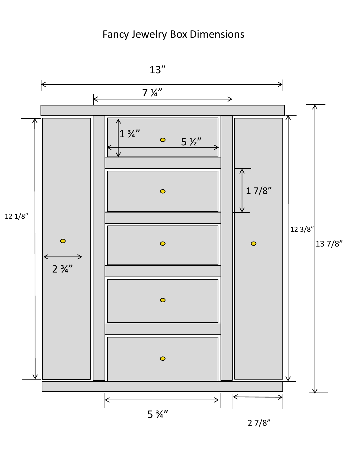## Fancy Jewelry Box Dimensions



2 7/8"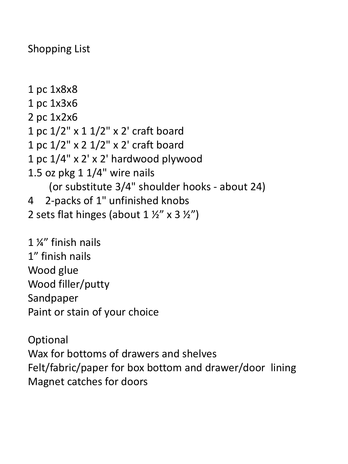Shopping List

1 pc 1x8x8 1 pc 1x3x6 2 pc 1x2x6 1 pc 1/2" x 1 1/2" x 2' craft board 1 pc 1/2" x 2 1/2" x 2' craft board 1 pc 1/4" x 2' x 2' hardwood plywood 1.5 oz pkg 1 1/4" wire nails (or substitute 3/4" shoulder hooks - about 24) 4 2-packs of 1" unfinished knobs 2 sets flat hinges (about  $1 \frac{1}{2}$  x  $3 \frac{1}{2}$ )

1 ¼" finish nails 1" finish nails Wood glue Wood filler/putty Sandpaper Paint or stain of your choice

**Optional** Wax for bottoms of drawers and shelves Felt/fabric/paper for box bottom and drawer/door lining Magnet catches for doors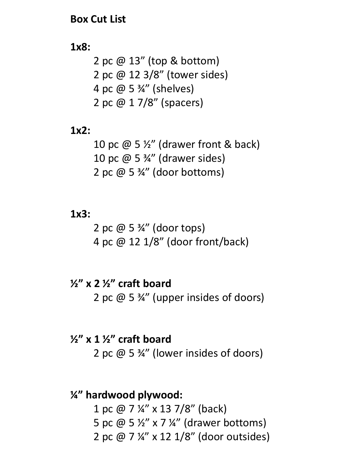#### **Box Cut List**

#### **1x8:**

2 pc @ 13" (top & bottom) 2 pc @ 12 3/8" (tower sides) 4 pc  $\omega$  5  $\frac{3}{4}$ " (shelves) 2 pc @ 1 7/8" (spacers)

#### **1x2:**

10 pc  $\omega$  5  $\frac{1}{2}$ " (drawer front & back) 10 pc @ 5 ¾" (drawer sides) 2 pc  $\omega$  5  $\frac{3}{4}$ " (door bottoms)

#### **1x3:**

2 pc  $\omega$  5  $\frac{3}{4}$ " (door tops) 4 pc @ 12 1/8" (door front/back)

**½" x 2 ½" craft board**  2 pc  $\omega$  5  $\frac{3}{4}$ " (upper insides of doors)

## **½" x 1 ½" craft board**  2 pc @ 5 ¾" (lower insides of doors)

### **¼" hardwood plywood:**

1 pc @ 7 ¼" x 13 7/8" (back) 5 pc @ 5 ½" x 7 ¼" (drawer bottoms) 2 pc @ 7 ¼" x 12 1/8" (door outsides)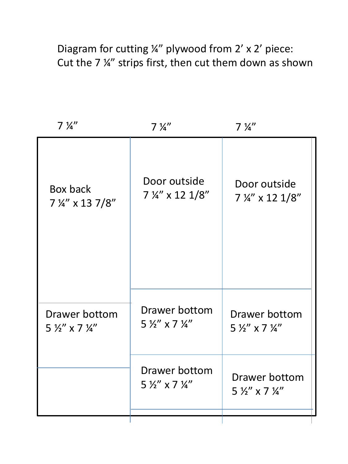Diagram for cutting ¼" plywood from 2' x 2' piece: Cut the 7 ¼" strips first, then cut them down as shown

| $7\frac{1}{4}$                                    | $7\frac{1}{4}$                                        | $7\frac{1}{4}$                                      |
|---------------------------------------------------|-------------------------------------------------------|-----------------------------------------------------|
| Box back<br>7 1/4" x 13 7/8"                      | Door outside<br>7 1/4" x 12 1/8"                      | Door outside<br>7 ¼" x 12 1/8"                      |
| Drawer bottom<br>$5\frac{1}{2}$ x 7 $\frac{1}{4}$ | Drawer bottom<br>$5\frac{1}{2}$ " x 7 $\frac{1}{4}$ " | Drawer bottom<br>$5\frac{1}{2}$ x 7 $\frac{1}{4}$ " |
|                                                   | Drawer bottom<br>$5\frac{1}{2}$ " x 7 $\frac{1}{4}$ " | Drawer bottom<br>$5\frac{1}{2}$ x 7 $\frac{1}{4}$   |
|                                                   |                                                       |                                                     |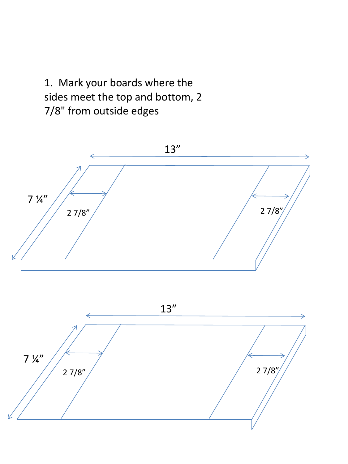1. Mark your boards where the sides meet the top and bottom, 2 7/8" from outside edges





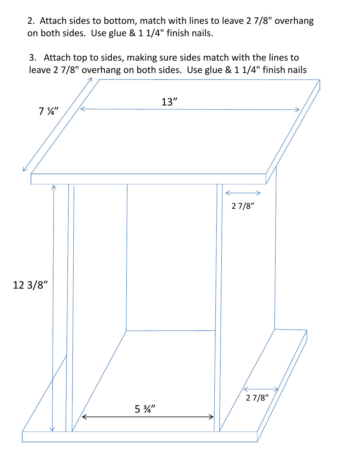2. Attach sides to bottom, match with lines to leave 2 7/8" overhang on both sides. Use glue & 1 1/4" finish nails.

3. Attach top to sides, making sure sides match with the lines to leave 2 7/8" overhang on both sides. Use glue & 1 1/4" finish nails

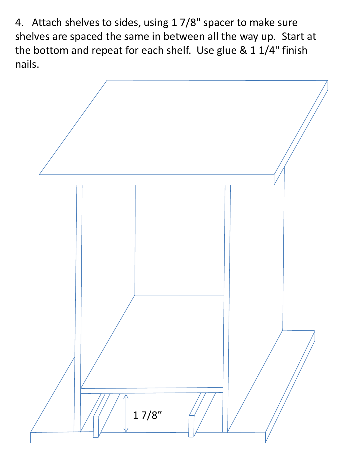4. Attach shelves to sides, using 1 7/8" spacer to make sure shelves are spaced the same in between all the way up. Start at the bottom and repeat for each shelf. Use glue & 1 1/4" finish nails.

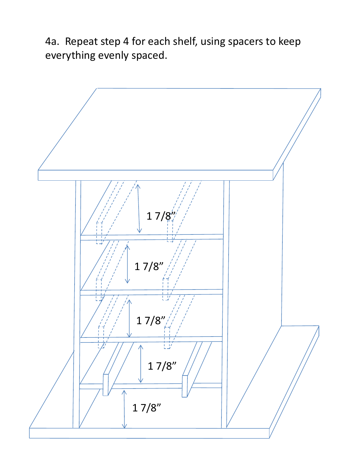4a. Repeat step 4 for each shelf, using spacers to keep everything evenly spaced.

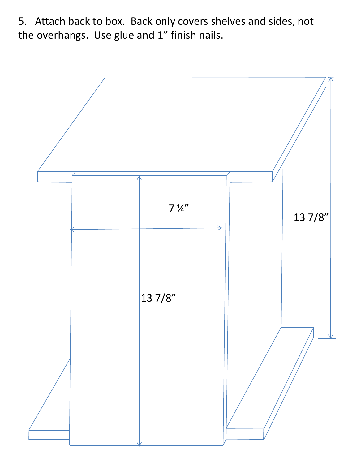5. Attach back to box. Back only covers shelves and sides, not the overhangs. Use glue and 1" finish nails.

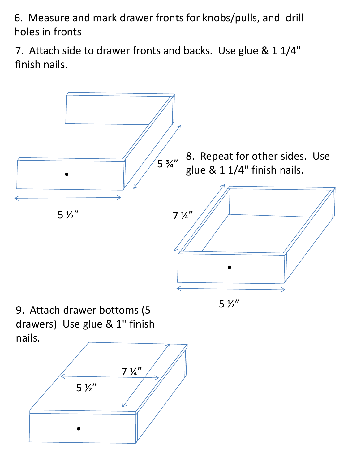6. Measure and mark drawer fronts for knobs/pulls, and drill holes in fronts

7. Attach side to drawer fronts and backs. Use glue & 1 1/4" finish nails.



5 ½"

9. Attach drawer bottoms (5 drawers) Use glue & 1" finish nails.

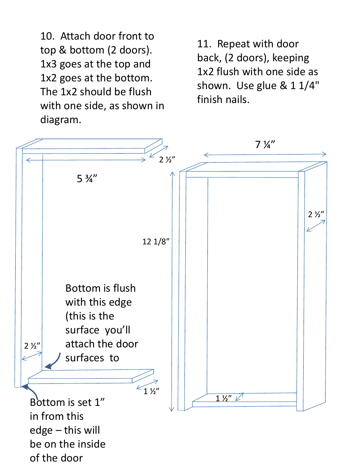10. Attach door front to top & bottom (2 doors). 1x3 goes at the top and 1x2 goes at the bottom. The 1x2 should be flush with one side, as shown in diagram.

11. Repeat with door back, (2 doors), keeping 1x2 flush with one side as shown. Use glue & 1 1/4" finish nails.

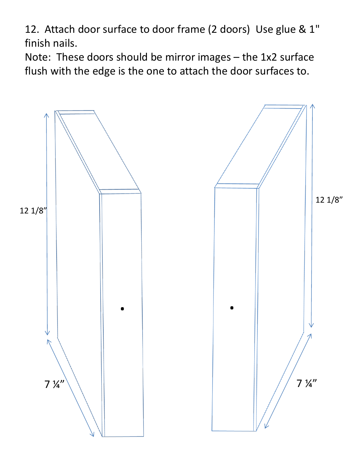12. Attach door surface to door frame (2 doors) Use glue & 1" finish nails.

Note: These doors should be mirror images – the 1x2 surface flush with the edge is the one to attach the door surfaces to.

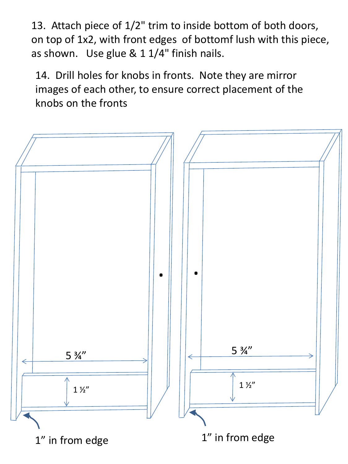13. Attach piece of 1/2" trim to inside bottom of both doors, on top of 1x2, with front edges of bottomf lush with this piece, as shown. Use glue & 1 1/4" finish nails.

14. Drill holes for knobs in fronts. Note they are mirror images of each other, to ensure correct placement of the knobs on the fronts

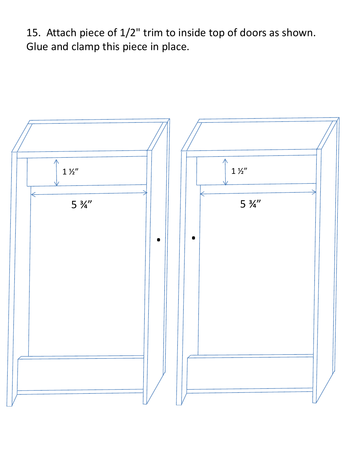15. Attach piece of 1/2" trim to inside top of doors as shown. Glue and clamp this piece in place.

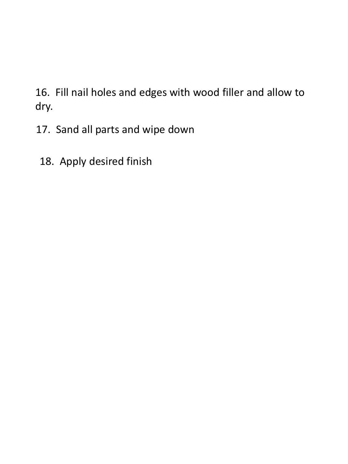16. Fill nail holes and edges with wood filler and allow to dry.

- 17. Sand all parts and wipe down
- 18. Apply desired finish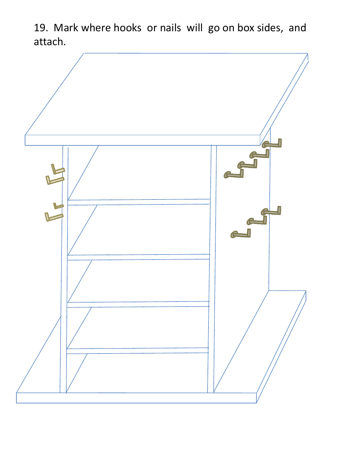19. Mark where hooks or nails will go on box sides, and attach.

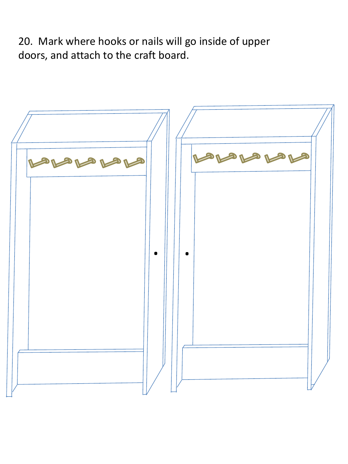20. Mark where hooks or nails will go inside of upper doors, and attach to the craft board.

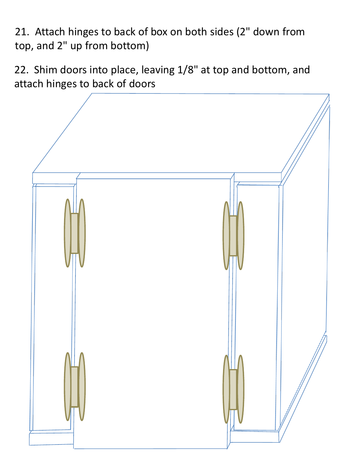21. Attach hinges to back of box on both sides (2" down from top, and 2" up from bottom)

22. Shim doors into place, leaving 1/8" at top and bottom, and attach hinges to back of doors

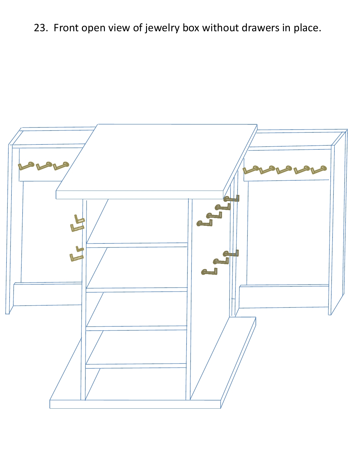# 23. Front open view of jewelry box without drawers in place.

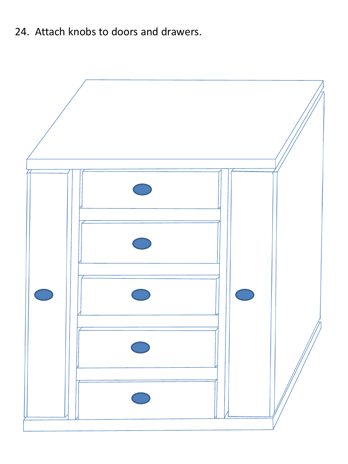24. Attach knobs to doors and drawers.